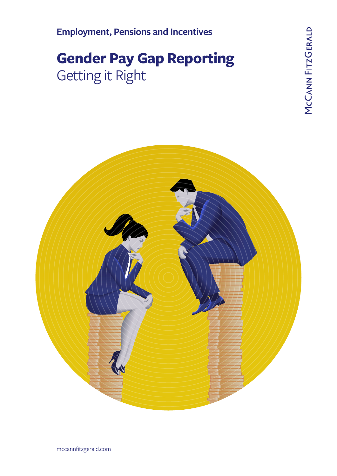# **Gender Pay Gap Reporting** Getting it Right



mccannfitzgerald.com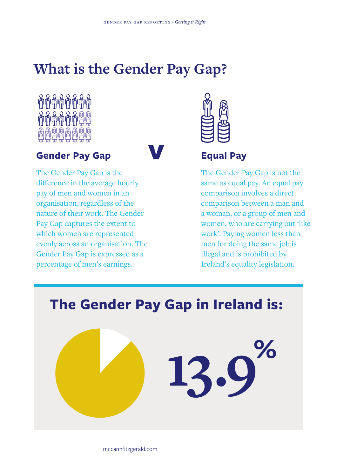# **What is the Gender Pay Gap?**



## **Gender Pay Gap**



The Gender Pay Gap is the difference in the average hourly pay of men and women in an organisation, regardless of the nature of their work. The Gender Pay Gap captures the extent to which women are represented evenly across an organisation. The Gender Pay Gap is expressed as a percentage of men's earnings.



# **Equal Pay**

The Gender Pay Gap is not the same as equal pay. An equal pay comparison involves a direct comparison between a man and a woman, or a group of men and women, who are carrying out 'like work'. Paying women less than men for doing the same job is illegal and is prohibited by Ireland's equality legislation.



mccannfitzgerald.com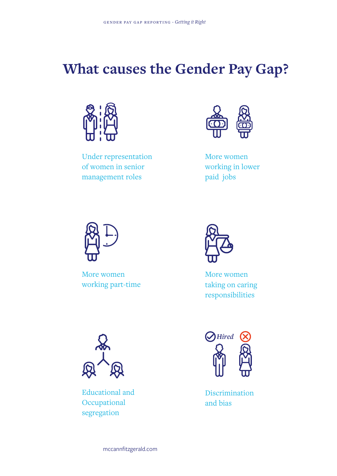# **What causes the Gender Pay Gap?**



Under representation of women in senior management roles



More women working in lower paid jobs



More women working part-time



More women taking on caring responsibilities



Educational and **Occupational** segregation



Discrimination and bias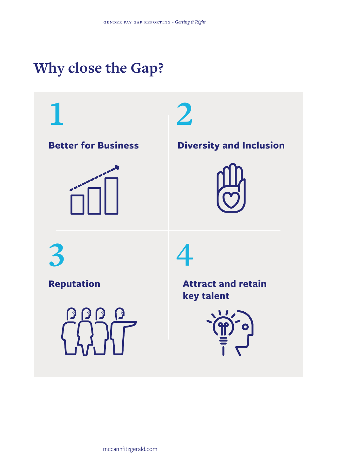# **Why close the Gap?**





**key talent**

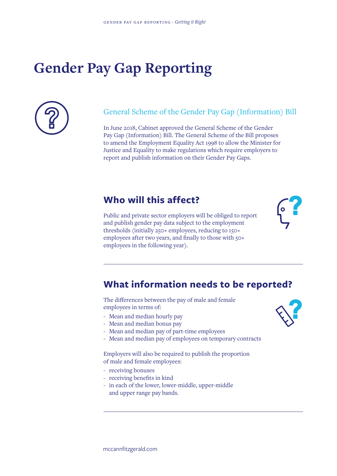# **Gender Pay Gap Reporting**



### General Scheme of the Gender Pay Gap (Information) Bill

In June 2018, Cabinet approved the General Scheme of the Gender Pay Gap (Information) Bill. The General Scheme of the Bill proposes to amend the Employment Equality Act 1998 to allow the Minister for Justice and Equality to make regulations which require employers to report and publish information on their Gender Pay Gaps.

### **Who will this affect?**

Public and private sector employers will be obliged to report and publish gender pay data subject to the employment thresholds (initially 250+ employees, reducing to 150+ employees after two years, and finally to those with 50+ employees in the following year).



## **What information needs to be reported?**

The differences between the pay of male and female employees in terms of:

- Mean and median hourly pay
- Mean and median bonus pay
- Mean and median pay of part-time employees
- Mean and median pay of employees on temporary contracts

Employers will also be required to publish the proportion of male and female employees:

- receiving bonuses
- receiving benefits in kind
- in each of the lower, lower-middle, upper-middle and upper range pay bands.



mccannfitzgerald.com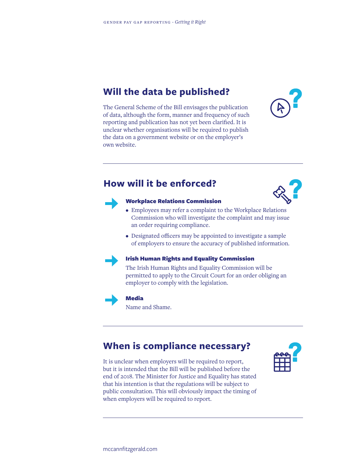## **Will the data be published?**



The General Scheme of the Bill envisages the publication of data, although the form, manner and frequency of such reporting and publication has not yet been clarified. It is unclear whether organisations will be required to publish the data on a government website or on the employer's own website.

### **How will it be enforced?**





#### Workplace Relations Commission

- Employees may refer a complaint to the Workplace Relations Commission who will investigate the complaint and may issue an order requiring compliance.
- Designated officers may be appointed to investigate a sample of employers to ensure the accuracy of published information.



#### Irish Human Rights and Equality Commission

The Irish Human Rights and Equality Commission will be permitted to apply to the Circuit Court for an order obliging an employer to comply with the legislation.



#### Media

Name and Shame.

# **When is compliance necessary?**

It is unclear when employers will be required to report, but it is intended that the Bill will be published before the end of 2018. The Minister for Justice and Equality has stated that his intention is that the regulations will be subject to public consultation. This will obviously impact the timing of when employers will be required to report.

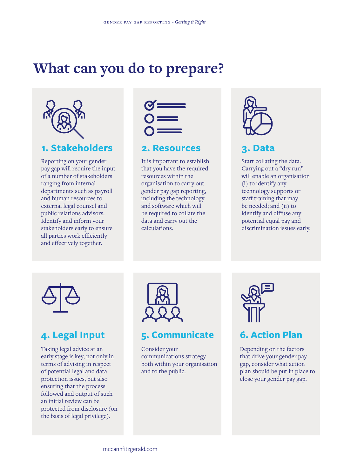# **What can you do to prepare?**



## **1. Stakeholders 2. Resources 3. Data**

Reporting on your gender pay gap will require the input of a number of stakeholders ranging from internal departments such as payroll and human resources to external legal counsel and public relations advisors. Identify and inform your stakeholders early to ensure all parties work efficiently and effectively together.



It is important to establish that you have the required resources within the organisation to carry out gender pay gap reporting, including the technology and software which will be required to collate the data and carry out the calculations.



Start collating the data. Carrying out a "dry run" will enable an organisation (i) to identify any technology supports or staff training that may be needed; and (ii) to identify and diffuse any potential equal pay and discrimination issues early.



Taking legal advice at an early stage is key, not only in terms of advising in respect of potential legal and data protection issues, but also ensuring that the process followed and output of such an initial review can be protected from disclosure (on the basis of legal privilege).



## **4. Legal Input 5. Communicate 6. Action Plan**

Consider your communications strategy both within your organisation and to the public.



Depending on the factors that drive your gender pay gap, consider what action plan should be put in place to close your gender pay gap.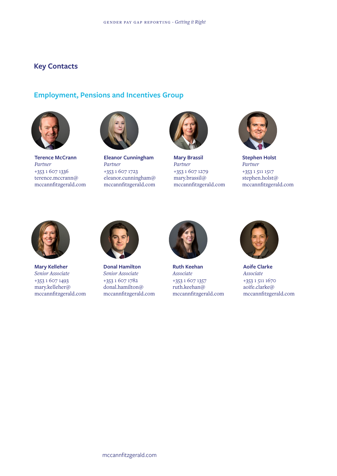### **Key Contacts**

## **Employment, Pensions and Incentives Group**



**Terence McCrann** *Partner*  +353 1 607 1336 terence.mccrann@ mccannfitzgerald.com



**Eleanor Cunningham** *Partner* +353 1 607 1723 eleanor.cunningham@ mccannfitzgerald.com



**Mary Brassil** *Partner* +353 1 607 1279 mary.brassil@ mccannfitzgerald.com



**Stephen Holst** *Partner* +353 1 511 1517 stephen.holst@ mccannfitzgerald.com



**Mary Kelleher** *Senior Associate* +353 1 607 1493 mary.kelleher@ mccannfitzgerald.com



**Donal Hamilton** *Senior Associate* +353 1 607 1782 donal.hamilton@ mccannfitzgerald.com



**Ruth Keehan** *Associate* +353 1 607 1357 ruth.keehan@ mccannfitzgerald.com



**Aoife Clarke** *Associate* +353 1 511 1670 aoife.clarke@ mccannfitzgerald.com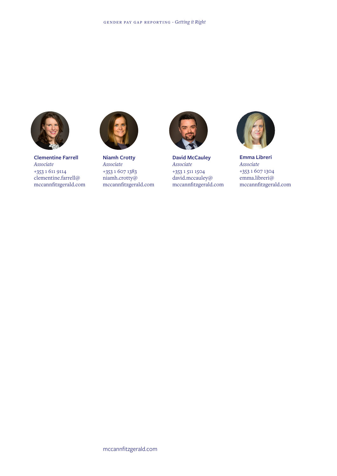

**Clementine Farrell** *Associate* +353 1 611 9114 clementine.farrell@ mccannfitzgerald.com



**Niamh Crotty** *Associate* +353 1 607 1383 niamh.crotty@ mccannfitzgerald.com



**David McCauley** *Associate* +353 1 511 1504 david.mccauley@ mccannfitzgerald.com



**Emma Libreri** *Associate* +353 1 607 1304 emma.libreri@ mccannfitzgerald.com